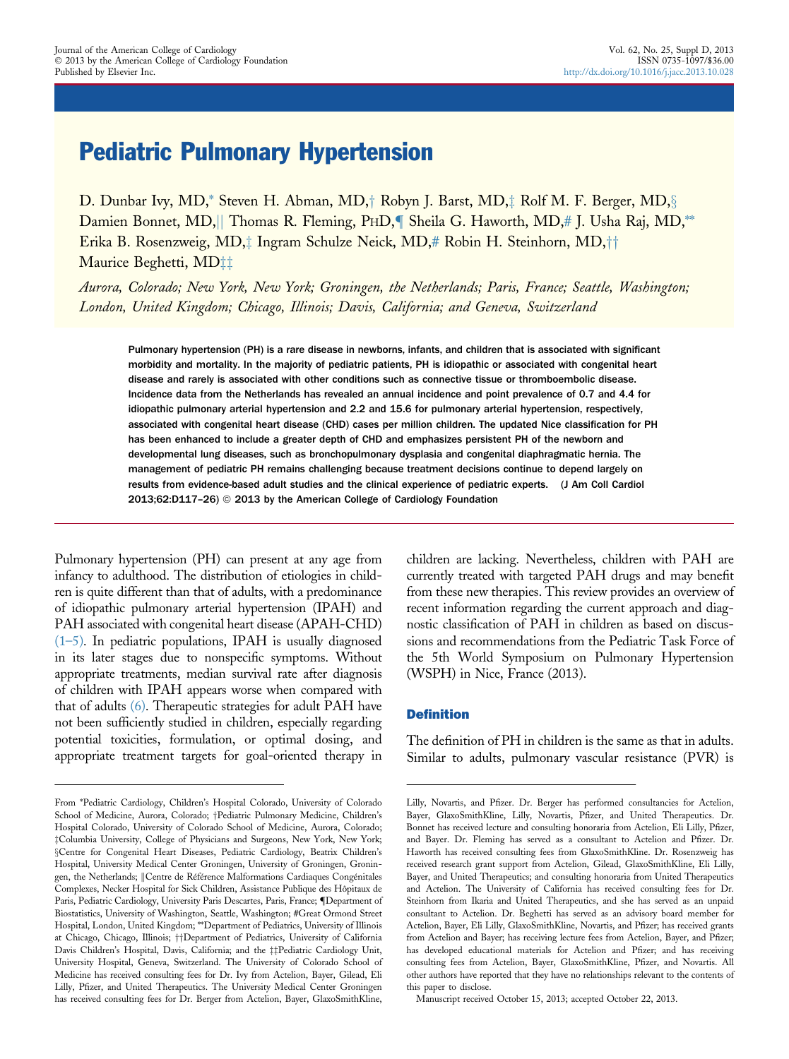# Pediatric Pulmonary Hypertension

D. Dunbar Ivy, MD,\* Steven H. Abman, MD, $\dagger$  Robyn J. Barst, MD, $\ddagger$  Rolf M. F. Berger, MD, $\S$ Damien Bonnet, MD, Thomas R. Fleming, PHD, Theila G. Haworth, MD,# J. Usha Raj, MD,\*\* Erika B. Rosenzweig, MD, $\ddagger$  Ingram Schulze Neick, MD,# Robin H. Steinhorn, MD, $\uparrow\uparrow$ Maurice Beghetti, MD‡‡

Aurora, Colorado; New York, New York; Groningen, the Netherlands; Paris, France; Seattle, Washington; London, United Kingdom; Chicago, Illinois; Davis, California; and Geneva, Switzerland

Pulmonary hypertension (PH) is a rare disease in newborns, infants, and children that is associated with significant morbidity and mortality. In the majority of pediatric patients, PH is idiopathic or associated with congenital heart disease and rarely is associated with other conditions such as connective tissue or thromboembolic disease. Incidence data from the Netherlands has revealed an annual incidence and point prevalence of 0.7 and 4.4 for idiopathic pulmonary arterial hypertension and 2.2 and 15.6 for pulmonary arterial hypertension, respectively, associated with congenital heart disease (CHD) cases per million children. The updated Nice classification for PH has been enhanced to include a greater depth of CHD and emphasizes persistent PH of the newborn and developmental lung diseases, such as bronchopulmonary dysplasia and congenital diaphragmatic hernia. The management of pediatric PH remains challenging because treatment decisions continue to depend largely on results from evidence-based adult studies and the clinical experience of pediatric experts. (J Am Coll Cardiol 2013;62:D117-26) @ 2013 by the American College of Cardiology Foundation

Pulmonary hypertension (PH) can present at any age from infancy to adulthood. The distribution of etiologies in children is quite different than that of adults, with a predominance of idiopathic pulmonary arterial hypertension (IPAH) and PAH associated with congenital heart disease (APAH-CHD)  $(1-5)$ . In pediatric populations, IPAH is usually diagnosed in its later stages due to nonspecific symptoms. Without appropriate treatments, median survival rate after diagnosis of children with IPAH appears worse when compared with that of adults [\(6\)](#page-7-0). Therapeutic strategies for adult PAH have not been sufficiently studied in children, especially regarding potential toxicities, formulation, or optimal dosing, and appropriate treatment targets for goal-oriented therapy in

children are lacking. Nevertheless, children with PAH are currently treated with targeted PAH drugs and may benefit from these new therapies. This review provides an overview of recent information regarding the current approach and diagnostic classification of PAH in children as based on discussions and recommendations from the Pediatric Task Force of the 5th World Symposium on Pulmonary Hypertension (WSPH) in Nice, France (2013).

## **Definition**

The definition of PH in children is the same as that in adults. Similar to adults, pulmonary vascular resistance (PVR) is

From \*Pediatric Cardiology, Children's Hospital Colorado, University of Colorado School of Medicine, Aurora, Colorado; †Pediatric Pulmonar[y](#page-7-0) Medicine, Children's Hospital Colorado, University of Colorado School of Medicine, Aurora, Colorado; [z](#page-7-0)Columbia University, College of Physicians and Surgeons, New York, New York; [x](#page-7-0)Centre for Congenital Heart Diseases, Pediatric Cardiology, Beatrix Children's Hospital, University Medical Center Groningen, University of Groningen, Groningen, the Netherlands; ||Centre de Référence Malformations Cardiaques Congénitales Complexes, Necker Hospital for Sick Children, Assistance Publique des Hôpitaux de Paris, Pediatric Cardiology, University Paris Descartes, Paris, France; [Department of Biostatistics, University of Washington, Seattle, Washington; #Great Ormond Street Hospital, London, United Kingdom; \*\*Department of Pediatrics, University of Illinois at Chicago, Chicago, Illinois; † Department of Pediatrics, University of California Davis Children's Hospital, Davis, California; and the #Pediatric Cardiology Unit, University Hospital, Geneva, Switzerland. The University of Colorado School of Medicine has received consulting fees for Dr. Ivy from Actelion, Bayer, Gilead, Eli Lilly, Pfizer, and United Therapeutics. The University Medical Center Groningen has received consulting fees for Dr. Berger from Actelion, Bayer, GlaxoSmithKline,

Lilly, Novartis, and Pfizer. Dr. Berger has performed consultancies for Actelion, Bayer, GlaxoSmithKline, Lilly, Novartis, Pfizer, and United Therapeutics. Dr. Bonnet has received lecture and consulting honoraria from Actelion, Eli Lilly, Pfizer, and Bayer. Dr. Fleming has served as a consultant to Actelion and Pfizer. Dr. Haworth has received consulting fees from GlaxoSmithKline. Dr. Rosenzweig has received research grant support from Actelion, Gilead, GlaxoSmithKline, Eli Lilly, Bayer, and United Therapeutics; and consulting honoraria from United Therapeutics and Actelion. The University of California has received consulting fees for Dr. Steinhorn from Ikaria and United Therapeutics, and she has served as an unpaid consultant to Actelion. Dr. Beghetti has served as an advisory board member for Actelion, Bayer, Eli Lilly, GlaxoSmithKline, Novartis, and Pfizer; has received grants from Actelion and Bayer; has receiving lecture fees from Actelion, Bayer, and Pfizer; has developed educational materials for Actelion and Pfizer; and has receiving consulting fees from Actelion, Bayer, GlaxoSmithKline, Pfizer, and Novartis. All other authors have reported that they have no relationships relevant to the contents of this paper to disclose.

Manuscript received October 15, 2013; accepted October 22, 2013.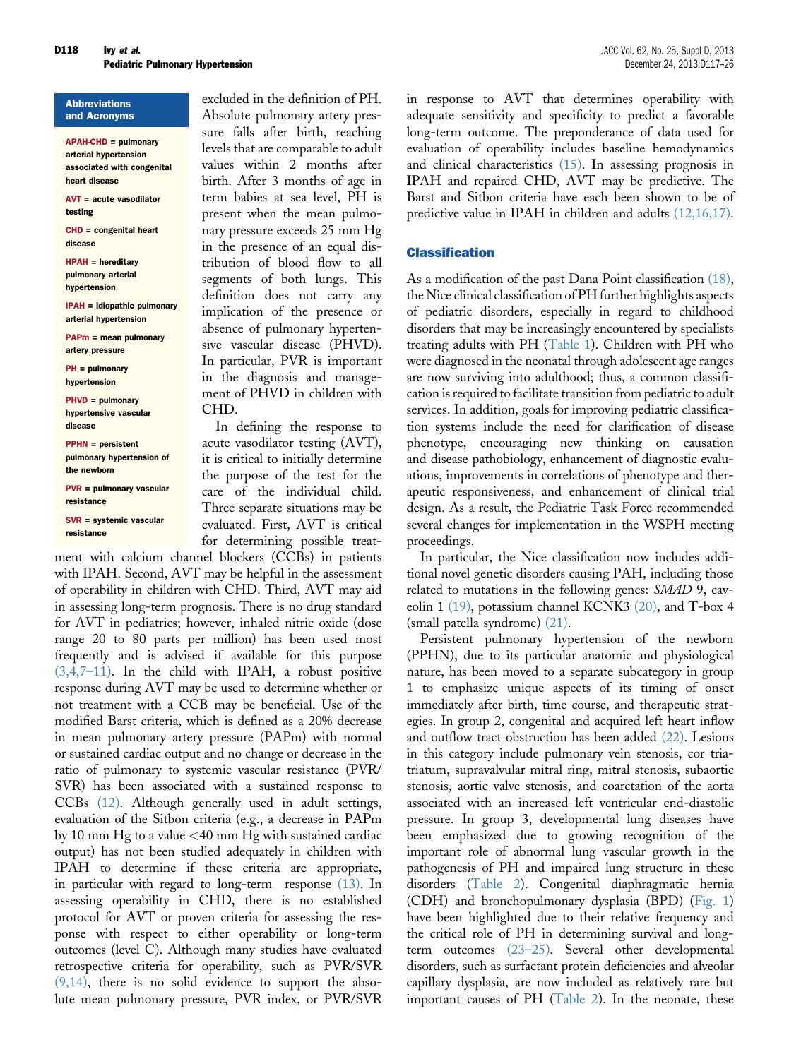**Abbreviations** and Acronyms

APAH-CHD = pulmonary arterial hypertension associated with congenital heart disease

AVT = acute vasodilator testing

CHD = congenital heart disease

HPAH = hereditary pulmonary arterial hypertension

IPAH = idiopathic pulmonary arterial hypertension

PAPm = mean pulmonary artery pressure

PH = pulmonary hypertension

PHVD = pulmonary hypertensive vascular disease

PPHN = persistent pulmonary hypertension of the newborn

PVR = pulmonary vascular resistance

SVR = systemic vascular resistance

excluded in the definition of PH. Absolute pulmonary artery pressure falls after birth, reaching levels that are comparable to adult values within 2 months after birth. After 3 months of age in term babies at sea level, PH is present when the mean pulmonary pressure exceeds 25 mm Hg in the presence of an equal distribution of blood flow to all segments of both lungs. This definition does not carry any implication of the presence or absence of pulmonary hypertensive vascular disease (PHVD). In particular, PVR is important in the diagnosis and management of PHVD in children with CHD.

In defining the response to acute vasodilator testing (AVT), it is critical to initially determine the purpose of the test for the care of the individual child. Three separate situations may be evaluated. First, AVT is critical for determining possible treat-

ment with calcium channel blockers (CCBs) in patients with IPAH. Second, AVT may be helpful in the assessment of operability in children with CHD. Third, AVT may aid in assessing long-term prognosis. There is no drug standard for AVT in pediatrics; however, inhaled nitric oxide (dose range 20 to 80 parts per million) has been used most frequently and is advised if available for this purpose [\(3,4,7](#page-7-0)–11). In the child with IPAH, a robust positive response during AVT may be used to determine whether or not treatment with a CCB may be beneficial. Use of the modified Barst criteria, which is defined as a 20% decrease in mean pulmonary artery pressure (PAPm) with normal or sustained cardiac output and no change or decrease in the ratio of pulmonary to systemic vascular resistance (PVR/ SVR) has been associated with a sustained response to CCBs [\(12\)](#page-7-0). Although generally used in adult settings, evaluation of the Sitbon criteria (e.g., a decrease in PAPm by 10 mm Hg to a value <40 mm Hg with sustained cardiac output) has not been studied adequately in children with IPAH to determine if these criteria are appropriate, in particular with regard to long-term response [\(13\).](#page-7-0) In assessing operability in CHD, there is no established protocol for AVT or proven criteria for assessing the response with respect to either operability or long-term outcomes (level C). Although many studies have evaluated retrospective criteria for operability, such as PVR/SVR [\(9,14\),](#page-7-0) there is no solid evidence to support the absolute mean pulmonary pressure, PVR index, or PVR/SVR in response to AVT that determines operability with adequate sensitivity and specificity to predict a favorable long-term outcome. The preponderance of data used for evaluation of operability includes baseline hemodynamics and clinical characteristics [\(15\).](#page-7-0) In assessing prognosis in IPAH and repaired CHD, AVT may be predictive. The Barst and Sitbon criteria have each been shown to be of predictive value in IPAH in children and adults [\(12,16,17\).](#page-7-0)

# Classification

As a modification of the past Dana Point classification [\(18\),](#page-7-0) the Nice clinical classification of PH further highlights aspects of pediatric disorders, especially in regard to childhood disorders that may be increasingly encountered by specialists treating adults with PH [\(Table 1\)](#page-2-0). Children with PH who were diagnosed in the neonatal through adolescent age ranges are now surviving into adulthood; thus, a common classification is required to facilitate transition from pediatric to adult services. In addition, goals for improving pediatric classification systems include the need for clarification of disease phenotype, encouraging new thinking on causation and disease pathobiology, enhancement of diagnostic evaluations, improvements in correlations of phenotype and therapeutic responsiveness, and enhancement of clinical trial design. As a result, the Pediatric Task Force recommended several changes for implementation in the WSPH meeting proceedings.

In particular, the Nice classification now includes additional novel genetic disorders causing PAH, including those related to mutations in the following genes: SMAD 9, caveolin 1 [\(19\),](#page-7-0) potassium channel KCNK3 [\(20\),](#page-7-0) and T-box 4 (small patella syndrome) [\(21\).](#page-7-0)

Persistent pulmonary hypertension of the newborn (PPHN), due to its particular anatomic and physiological nature, has been moved to a separate subcategory in group 1 to emphasize unique aspects of its timing of onset immediately after birth, time course, and therapeutic strategies. In group 2, congenital and acquired left heart inflow and outflow tract obstruction has been added [\(22\).](#page-7-0) Lesions in this category include pulmonary vein stenosis, cor triatriatum, supravalvular mitral ring, mitral stenosis, subaortic stenosis, aortic valve stenosis, and coarctation of the aorta associated with an increased left ventricular end-diastolic pressure. In group 3, developmental lung diseases have been emphasized due to growing recognition of the important role of abnormal lung vascular growth in the pathogenesis of PH and impaired lung structure in these disorders [\(Table 2](#page-2-0)). Congenital diaphragmatic hernia (CDH) and bronchopulmonary dysplasia (BPD) [\(Fig. 1\)](#page-3-0) have been highlighted due to their relative frequency and the critical role of PH in determining survival and longterm outcomes (23–[25\).](#page-8-0) Several other developmental disorders, such as surfactant protein deficiencies and alveolar capillary dysplasia, are now included as relatively rare but important causes of PH ([Table 2\)](#page-2-0). In the neonate, these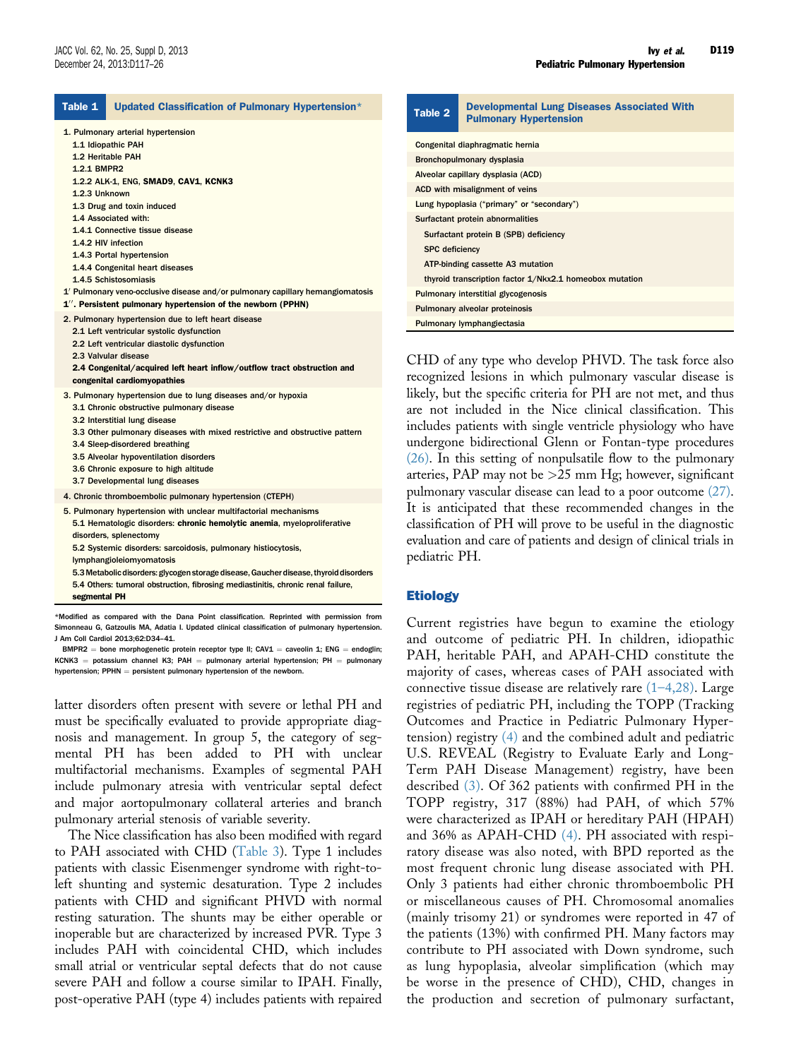<span id="page-2-0"></span>

| Table 1<br>Updated Classification of Pulmonary Hypertension*                                                                                                                                                                                                                                                                                                                                                                                                                                                                | <b>Developmental Lung Diseases Associated With</b><br>Table 2<br><b>Pulmonary Hypertension</b>                                                                                                                                                                                                                                                                                                                                                                                                                                                                                                                                                                                                                                                                                                                                                                                                                                                                                                                                                                                                                                                                                                                      |  |
|-----------------------------------------------------------------------------------------------------------------------------------------------------------------------------------------------------------------------------------------------------------------------------------------------------------------------------------------------------------------------------------------------------------------------------------------------------------------------------------------------------------------------------|---------------------------------------------------------------------------------------------------------------------------------------------------------------------------------------------------------------------------------------------------------------------------------------------------------------------------------------------------------------------------------------------------------------------------------------------------------------------------------------------------------------------------------------------------------------------------------------------------------------------------------------------------------------------------------------------------------------------------------------------------------------------------------------------------------------------------------------------------------------------------------------------------------------------------------------------------------------------------------------------------------------------------------------------------------------------------------------------------------------------------------------------------------------------------------------------------------------------|--|
| 1. Pulmonary arterial hypertension<br>1.1 Idiopathic PAH<br>1.2 Heritable PAH<br>1.2.1 BMPR2                                                                                                                                                                                                                                                                                                                                                                                                                                | Congenital diaphragmatic hernia<br>Bronchopulmonary dysplasia<br>Alveolar capillary dysplasia (ACD)                                                                                                                                                                                                                                                                                                                                                                                                                                                                                                                                                                                                                                                                                                                                                                                                                                                                                                                                                                                                                                                                                                                 |  |
| 1.2.2 ALK-1, ENG, SMAD9, CAV1, KCNK3<br>1.2.3 Unknown<br>1.3 Drug and toxin induced<br>1.4 Associated with:<br>1.4.1 Connective tissue disease<br>1.4.2 HIV infection<br>1.4.3 Portal hypertension<br>1.4.4 Congenital heart diseases<br>1.4.5 Schistosomiasis<br>1' Pulmonary veno-occlusive disease and/or pulmonary capillary hemangiomatosis                                                                                                                                                                            | ACD with misalignment of veins<br>Lung hypoplasia ("primary" or "secondary")<br>Surfactant protein abnormalities<br>Surfactant protein B (SPB) deficiency<br><b>SPC</b> deficiency<br>ATP-binding cassette A3 mutation<br>thyroid transcription factor 1/Nkx2.1 homeobox mutation<br><b>Pulmonary interstitial glycogenosis</b><br>Pulmonary alveolar proteinosis<br>Pulmonary lymphangiectasia<br>CHD of any type who develop PHVD. The task force also<br>recognized lesions in which pulmonary vascular disease is<br>likely, but the specific criteria for PH are not met, and thus<br>are not included in the Nice clinical classification. This<br>includes patients with single ventricle physiology who have<br>undergone bidirectional Glenn or Fontan-type procedures<br>$(26)$ . In this setting of nonpulsatile flow to the pulmonary<br>arteries, PAP may not be $>25$ mm Hg; however, significant<br>pulmonary vascular disease can lead to a poor outcome (27).<br>It is anticipated that these recommended changes in the<br>classification of PH will prove to be useful in the diagnostic<br>evaluation and care of patients and design of clinical trials in<br>pediatric PH.<br><b>Etiology</b> |  |
| 1". Persistent pulmonary hypertension of the newborn (PPHN)<br>2. Pulmonary hypertension due to left heart disease<br>2.1 Left ventricular systolic dysfunction<br>2.2 Left ventricular diastolic dysfunction<br>2.3 Valvular disease<br>2.4 Congenital/acquired left heart inflow/outflow tract obstruction and<br>congenital cardiomyopathies                                                                                                                                                                             |                                                                                                                                                                                                                                                                                                                                                                                                                                                                                                                                                                                                                                                                                                                                                                                                                                                                                                                                                                                                                                                                                                                                                                                                                     |  |
| 3. Pulmonary hypertension due to lung diseases and/or hypoxia<br>3.1 Chronic obstructive pulmonary disease<br>3.2 Interstitial lung disease<br>3.3 Other pulmonary diseases with mixed restrictive and obstructive pattern<br>3.4 Sleep-disordered breathing<br>3.5 Alveolar hypoventilation disorders<br>3.6 Chronic exposure to high altitude<br>3.7 Developmental lung diseases                                                                                                                                          |                                                                                                                                                                                                                                                                                                                                                                                                                                                                                                                                                                                                                                                                                                                                                                                                                                                                                                                                                                                                                                                                                                                                                                                                                     |  |
| 4. Chronic thromboembolic pulmonary hypertension (CTEPH)<br>5. Pulmonary hypertension with unclear multifactorial mechanisms<br>5.1 Hematologic disorders: chronic hemolytic anemia, myeloproliferative<br>disorders, splenectomy<br>5.2 Systemic disorders: sarcoidosis, pulmonary histiocytosis,<br>lymphangioleiomyomatosis<br>5.3 Metabolic disorders: glycogen storage disease, Gaucher disease, thyroid disorders<br>5.4 Others: tumoral obstruction, fibrosing mediastinitis, chronic renal failure,<br>segmental PH |                                                                                                                                                                                                                                                                                                                                                                                                                                                                                                                                                                                                                                                                                                                                                                                                                                                                                                                                                                                                                                                                                                                                                                                                                     |  |
| Modified as compared with the Dana Point classification. Reprinted with permission from                                                                                                                                                                                                                                                                                                                                                                                                                                     |                                                                                                                                                                                                                                                                                                                                                                                                                                                                                                                                                                                                                                                                                                                                                                                                                                                                                                                                                                                                                                                                                                                                                                                                                     |  |

Simonneau G, Gatzoulis MA, Adatia I. Updated clinical classification of pulmonary hypertension. J Am Coll Cardiol 2013;62:D34–41.  $BMPR2 = bone morphogenic protein receptor type II; CAV1 = caveolin 1; ENG = endoglin;$ 

latter disorders often present with severe or lethal PH and must be specifically evaluated to provide appropriate diagnosis and management. In group 5, the category of segmental PH has been added to PH with unclear multifactorial mechanisms. Examples of segmental PAH include pulmonary atresia with ventricular septal defect and major aortopulmonary collateral arteries and branch pulmonary arterial stenosis of variable severity.

The Nice classification has also been modified with regard to PAH associated with CHD ([Table 3](#page-3-0)). Type 1 includes patients with classic Eisenmenger syndrome with right-toleft shunting and systemic desaturation. Type 2 includes patients with CHD and significant PHVD with normal resting saturation. The shunts may be either operable or inoperable but are characterized by increased PVR. Type 3 includes PAH with coincidental CHD, which includes small atrial or ventricular septal defects that do not cause severe PAH and follow a course similar to IPAH. Finally, post-operative PAH (type 4) includes patients with repaired Current registries have begun to examine the etiology and outcome of pediatric PH. In children, idiopathic PAH, heritable PAH, and APAH-CHD constitute the majority of cases, whereas cases of PAH associated with connective tissue disease are relatively rare  $(1-4,28)$  $(1-4,28)$ . Large registries of pediatric PH, including the TOPP (Tracking Outcomes and Practice in Pediatric Pulmonary Hypertension) registry [\(4\)](#page-7-0) and the combined adult and pediatric U.S. REVEAL (Registry to Evaluate Early and Long-Term PAH Disease Management) registry, have been described [\(3\).](#page-7-0) Of 362 patients with confirmed PH in the TOPP registry, 317 (88%) had PAH, of which 57% were characterized as IPAH or hereditary PAH (HPAH) and 36% as APAH-CHD [\(4\)](#page-7-0). PH associated with respiratory disease was also noted, with BPD reported as the most frequent chronic lung disease associated with PH. Only 3 patients had either chronic thromboembolic PH or miscellaneous causes of PH. Chromosomal anomalies (mainly trisomy 21) or syndromes were reported in 47 of the patients (13%) with confirmed PH. Many factors may contribute to PH associated with Down syndrome, such as lung hypoplasia, alveolar simplification (which may be worse in the presence of CHD), CHD, changes in the production and secretion of pulmonary surfactant,

 $KCNK3 =$  potassium channel K3; PAH = pulmonary arterial hypertension; PH = pulmonary hypertension;  $PPHN =$  persistent pulmonary hypertension of the newborn.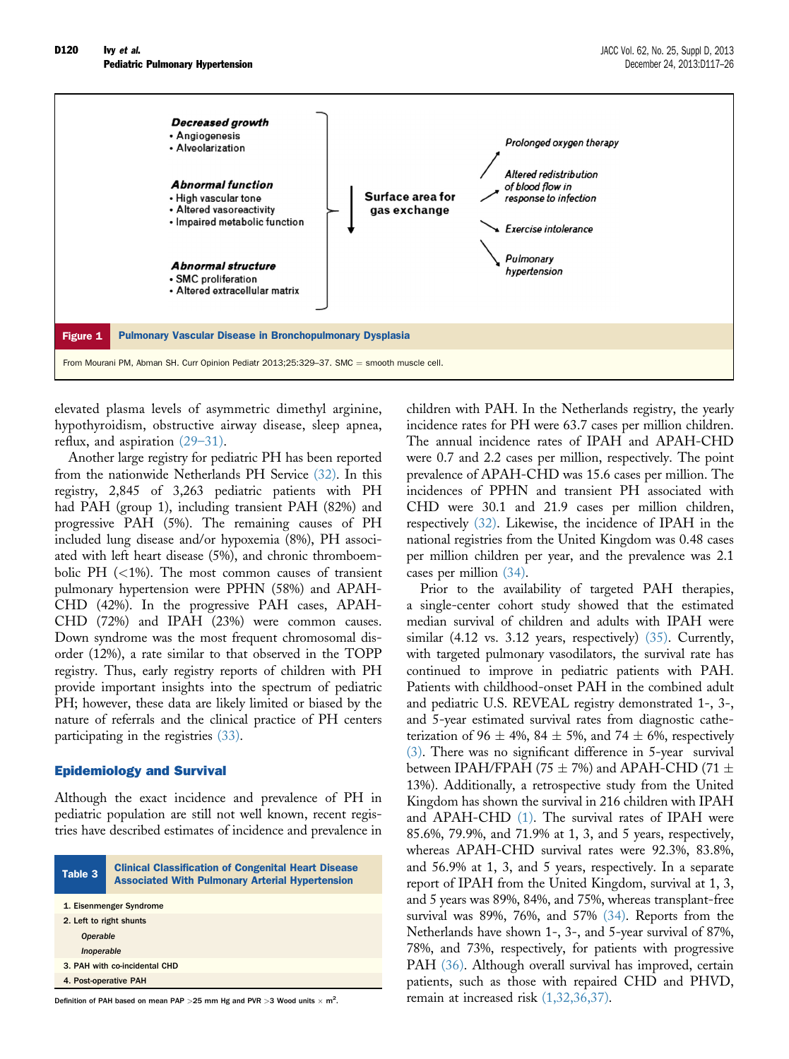<span id="page-3-0"></span>

elevated plasma levels of asymmetric dimethyl arginine, hypothyroidism, obstructive airway disease, sleep apnea, reflux, and aspiration (29–[31\)](#page-8-0).

Another large registry for pediatric PH has been reported from the nationwide Netherlands PH Service [\(32\).](#page-8-0) In this registry, 2,845 of 3,263 pediatric patients with PH had PAH (group 1), including transient PAH (82%) and progressive PAH (5%). The remaining causes of PH included lung disease and/or hypoxemia (8%), PH associated with left heart disease (5%), and chronic thromboembolic PH  $(<1%)$ . The most common causes of transient pulmonary hypertension were PPHN (58%) and APAH-CHD (42%). In the progressive PAH cases, APAH-CHD (72%) and IPAH (23%) were common causes. Down syndrome was the most frequent chromosomal disorder (12%), a rate similar to that observed in the TOPP registry. Thus, early registry reports of children with PH provide important insights into the spectrum of pediatric PH; however, these data are likely limited or biased by the nature of referrals and the clinical practice of PH centers participating in the registries [\(33\)](#page-8-0).

## Epidemiology and Survival

Although the exact incidence and prevalence of PH in pediatric population are still not well known, recent registries have described estimates of incidence and prevalence in

| Table 3                       | <b>Clinical Classification of Congenital Heart Disease</b><br><b>Associated With Pulmonary Arterial Hypertension</b> |
|-------------------------------|----------------------------------------------------------------------------------------------------------------------|
| 1. Eisenmenger Syndrome       |                                                                                                                      |
| 2. Left to right shunts       |                                                                                                                      |
| <b>Operable</b>               |                                                                                                                      |
| Inoperable                    |                                                                                                                      |
| 3. PAH with co-incidental CHD |                                                                                                                      |
| 4. Post-operative PAH         |                                                                                                                      |

Definition of PAH based on mean PAP  $>$  25 mm Hg and PVR  $>$  3 Wood units  $\times$  m<sup>2</sup>.

children with PAH. In the Netherlands registry, the yearly incidence rates for PH were 63.7 cases per million children. The annual incidence rates of IPAH and APAH-CHD were 0.7 and 2.2 cases per million, respectively. The point prevalence of APAH-CHD was 15.6 cases per million. The incidences of PPHN and transient PH associated with CHD were 30.1 and 21.9 cases per million children, respectively [\(32\).](#page-8-0) Likewise, the incidence of IPAH in the national registries from the United Kingdom was 0.48 cases per million children per year, and the prevalence was 2.1 cases per million [\(34\).](#page-8-0)

Prior to the availability of targeted PAH therapies, a single-center cohort study showed that the estimated median survival of children and adults with IPAH were similar  $(4.12 \text{ vs. } 3.12 \text{ years}, \text{ respectively})$   $(35)$ . Currently, with targeted pulmonary vasodilators, the survival rate has continued to improve in pediatric patients with PAH. Patients with childhood-onset PAH in the combined adult and pediatric U.S. REVEAL registry demonstrated 1-, 3-, and 5-year estimated survival rates from diagnostic catheterization of 96  $\pm$  4%, 84  $\pm$  5%, and 74  $\pm$  6%, respectively [\(3\)](#page-7-0). There was no significant difference in 5-year survival between IPAH/FPAH (75  $\pm$  7%) and APAH-CHD (71  $\pm$ 13%). Additionally, a retrospective study from the United Kingdom has shown the survival in 216 children with IPAH and APAH-CHD [\(1\)](#page-7-0). The survival rates of IPAH were 85.6%, 79.9%, and 71.9% at 1, 3, and 5 years, respectively, whereas APAH-CHD survival rates were 92.3%, 83.8%, and 56.9% at 1, 3, and 5 years, respectively. In a separate report of IPAH from the United Kingdom, survival at 1, 3, and 5 years was 89%, 84%, and 75%, whereas transplant-free survival was 89%, 76%, and 57% [\(34\)](#page-8-0). Reports from the Netherlands have shown 1-, 3-, and 5-year survival of 87%, 78%, and 73%, respectively, for patients with progressive PAH [\(36\).](#page-8-0) Although overall survival has improved, certain patients, such as those with repaired CHD and PHVD, remain at increased risk [\(1,32,36,37\).](#page-7-0)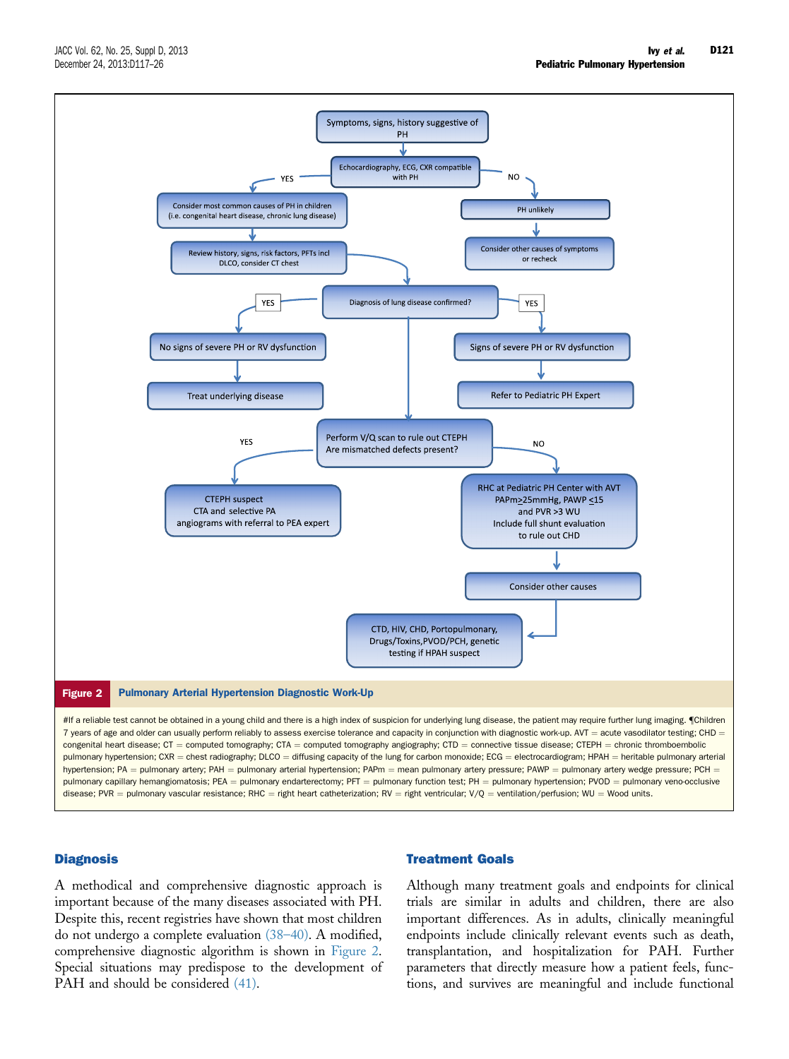

#### **Diagnosis**

A methodical and comprehensive diagnostic approach is important because of the many diseases associated with PH. Despite this, recent registries have shown that most children do not undergo a complete evaluation [\(38](#page-8-0)–40). A modified, comprehensive diagnostic algorithm is shown in Figure 2. Special situations may predispose to the development of PAH and should be considered  $(41)$ .

# Treatment Goals

Although many treatment goals and endpoints for clinical trials are similar in adults and children, there are also important differences. As in adults, clinically meaningful endpoints include clinically relevant events such as death, transplantation, and hospitalization for PAH. Further parameters that directly measure how a patient feels, functions, and survives are meaningful and include functional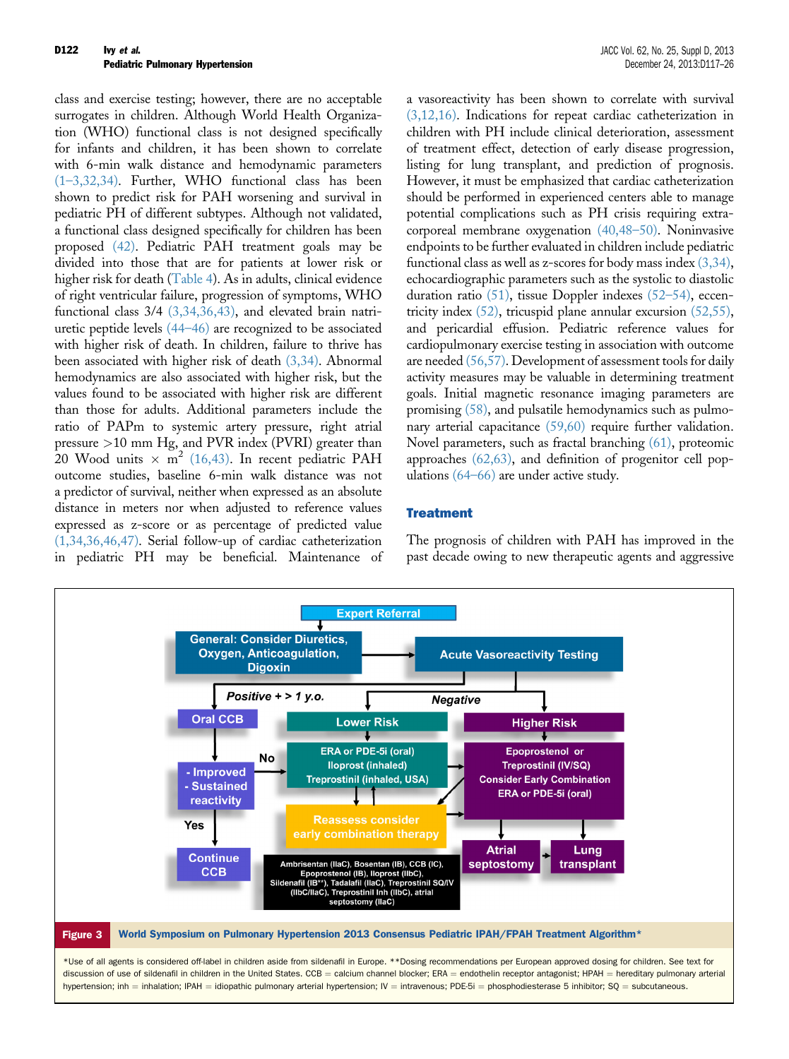<span id="page-5-0"></span>class and exercise testing; however, there are no acceptable surrogates in children. Although World Health Organization (WHO) functional class is not designed specifically for infants and children, it has been shown to correlate with 6-min walk distance and hemodynamic parameters (1–[3,32,34\)](#page-7-0). Further, WHO functional class has been shown to predict risk for PAH worsening and survival in pediatric PH of different subtypes. Although not validated, a functional class designed specifically for children has been proposed [\(42\).](#page-8-0) Pediatric PAH treatment goals may be divided into those that are for patients at lower risk or higher risk for death [\(Table 4](#page-6-0)). As in adults, clinical evidence of right ventricular failure, progression of symptoms, WHO functional class 3/4 [\(3,34,36,43\),](#page-7-0) and elevated brain natriuretic peptide levels (44–[46\)](#page-8-0) are recognized to be associated with higher risk of death. In children, failure to thrive has been associated with higher risk of death [\(3,34\).](#page-7-0) Abnormal hemodynamics are also associated with higher risk, but the values found to be associated with higher risk are different than those for adults. Additional parameters include the ratio of PAPm to systemic artery pressure, right atrial pressure >10 mm Hg, and PVR index (PVRI) greater than 20 Wood units  $\times$  m<sup>2</sup> [\(16,43\).](#page-7-0) In recent pediatric PAH outcome studies, baseline 6-min walk distance was not a predictor of survival, neither when expressed as an absolute distance in meters nor when adjusted to reference values expressed as z-score or as percentage of predicted value [\(1,34,36,46,47\)](#page-7-0). Serial follow-up of cardiac catheterization in pediatric PH may be beneficial. Maintenance of a vasoreactivity has been shown to correlate with survival [\(3,12,16\)](#page-7-0). Indications for repeat cardiac catheterization in children with PH include clinical deterioration, assessment of treatment effect, detection of early disease progression, listing for lung transplant, and prediction of prognosis. However, it must be emphasized that cardiac catheterization should be performed in experienced centers able to manage potential complications such as PH crisis requiring extracorporeal membrane oxygenation [\(40,48](#page-8-0)–50). Noninvasive endpoints to be further evaluated in children include pediatric functional class as well as z-scores for body mass index  $(3,34)$ , echocardiographic parameters such as the systolic to diastolic duration ratio [\(51\)](#page-8-0), tissue Doppler indexes [\(52](#page-8-0)–54), eccentricity index  $(52)$ , tricuspid plane annular excursion  $(52,55)$ , and pericardial effusion. Pediatric reference values for cardiopulmonary exercise testing in association with outcome are needed [\(56,57\)](#page-8-0). Development of assessment tools for daily activity measures may be valuable in determining treatment goals. Initial magnetic resonance imaging parameters are promising [\(58\)](#page-8-0), and pulsatile hemodynamics such as pulmo-nary arterial capacitance [\(59,60\)](#page-8-0) require further validation. Novel parameters, such as fractal branching [\(61\)](#page-8-0), proteomic approaches [\(62,63\),](#page-8-0) and definition of progenitor cell populations (64–[66\)](#page-8-0) are under active study.

## **Treatment**

The prognosis of children with PAH has improved in the past decade owing to new therapeutic agents and aggressive

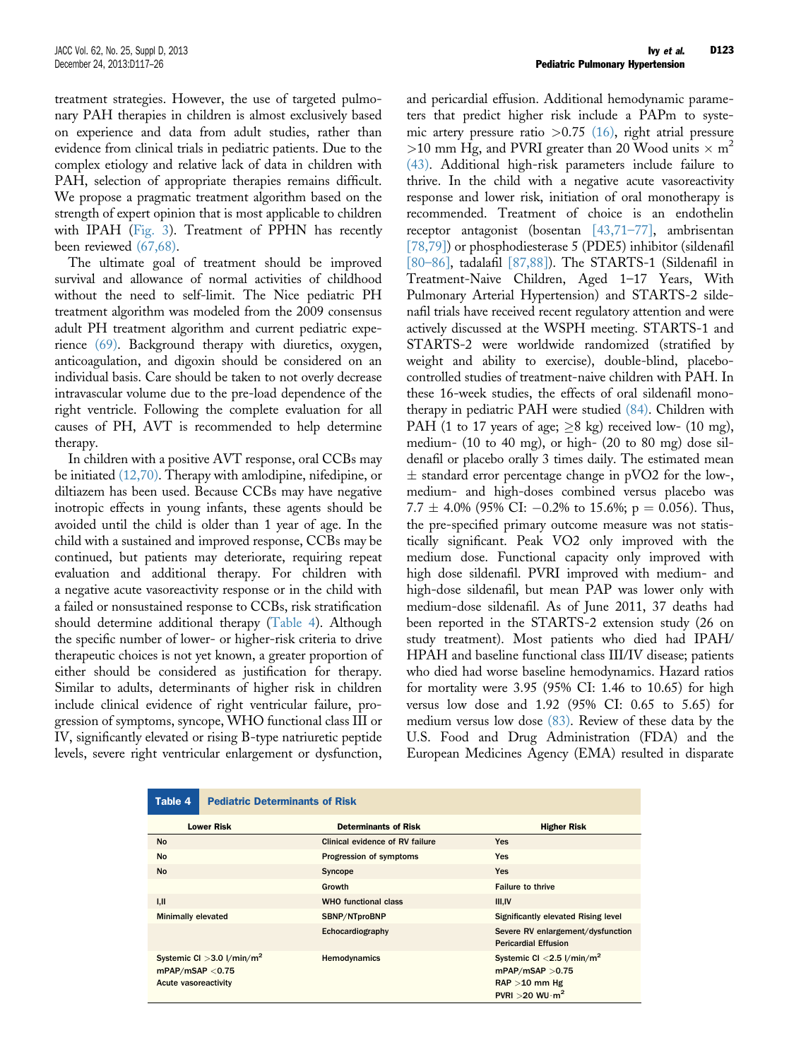<span id="page-6-0"></span>treatment strategies. However, the use of targeted pulmonary PAH therapies in children is almost exclusively based on experience and data from adult studies, rather than evidence from clinical trials in pediatric patients. Due to the complex etiology and relative lack of data in children with PAH, selection of appropriate therapies remains difficult. We propose a pragmatic treatment algorithm based on the strength of expert opinion that is most applicable to children with IPAH [\(Fig. 3\)](#page-5-0). Treatment of PPHN has recently been reviewed [\(67,68\).](#page-9-0)

The ultimate goal of treatment should be improved survival and allowance of normal activities of childhood without the need to self-limit. The Nice pediatric PH treatment algorithm was modeled from the 2009 consensus adult PH treatment algorithm and current pediatric experience [\(69\).](#page-9-0) Background therapy with diuretics, oxygen, anticoagulation, and digoxin should be considered on an individual basis. Care should be taken to not overly decrease intravascular volume due to the pre-load dependence of the right ventricle. Following the complete evaluation for all causes of PH, AVT is recommended to help determine therapy.

In children with a positive AVT response, oral CCBs may be initiated [\(12,70\).](#page-7-0) Therapy with amlodipine, nifedipine, or diltiazem has been used. Because CCBs may have negative inotropic effects in young infants, these agents should be avoided until the child is older than 1 year of age. In the child with a sustained and improved response, CCBs may be continued, but patients may deteriorate, requiring repeat evaluation and additional therapy. For children with a negative acute vasoreactivity response or in the child with a failed or nonsustained response to CCBs, risk stratification should determine additional therapy (Table 4). Although the specific number of lower- or higher-risk criteria to drive therapeutic choices is not yet known, a greater proportion of either should be considered as justification for therapy. Similar to adults, determinants of higher risk in children include clinical evidence of right ventricular failure, progression of symptoms, syncope, WHO functional class III or IV, significantly elevated or rising B-type natriuretic peptide levels, severe right ventricular enlargement or dysfunction,

and pericardial effusion. Additional hemodynamic parameters that predict higher risk include a PAPm to systemic artery pressure ratio  $>0.75$  [\(16\),](#page-7-0) right atrial pressure >10 mm Hg, and PVRI greater than 20 Wood units  $\times$  m<sup>2</sup> [\(43\)](#page-8-0). Additional high-risk parameters include failure to thrive. In the child with a negative acute vasoreactivity response and lower risk, initiation of oral monotherapy is recommended. Treatment of choice is an endothelin receptor antagonist (bosentan [\[43,71](#page-8-0)–77], ambrisentan [\[78,79\]](#page-9-0)) or phosphodiesterase 5 (PDE5) inhibitor (sildenafil [80–[86\],](#page-9-0) tadalafil [\[87,88\]](#page-9-0)). The STARTS-1 (Sildenafil in Treatment-Naive Children, Aged 1–17 Years, With Pulmonary Arterial Hypertension) and STARTS-2 sildenafil trials have received recent regulatory attention and were actively discussed at the WSPH meeting. STARTS-1 and STARTS-2 were worldwide randomized (stratified by weight and ability to exercise), double-blind, placebocontrolled studies of treatment-naive children with PAH. In these 16-week studies, the effects of oral sildenafil monotherapy in pediatric PAH were studied [\(84\).](#page-9-0) Children with PAH (1 to 17 years of age;  $\geq$ 8 kg) received low- (10 mg), medium- (10 to 40 mg), or high- (20 to 80 mg) dose sildenafil or placebo orally 3 times daily. The estimated mean  $\pm$  standard error percentage change in pVO2 for the low-, medium- and high-doses combined versus placebo was  $7.7 \pm 4.0\%$  (95% CI:  $-0.2\%$  to 15.6%; p = 0.056). Thus, the pre-specified primary outcome measure was not statistically significant. Peak VO2 only improved with the medium dose. Functional capacity only improved with high dose sildenafil. PVRI improved with medium- and high-dose sildenafil, but mean PAP was lower only with medium-dose sildenafil. As of June 2011, 37 deaths had been reported in the STARTS-2 extension study (26 on study treatment). Most patients who died had IPAH/ HPAH and baseline functional class III/IV disease; patients who died had worse baseline hemodynamics. Hazard ratios for mortality were 3.95 (95% CI: 1.46 to 10.65) for high versus low dose and 1.92 (95% CI: 0.65 to 5.65) for medium versus low dose [\(83\).](#page-9-0) Review of these data by the U.S. Food and Drug Administration (FDA) and the European Medicines Agency (EMA) resulted in disparate

| <b>Pediatric Determinants of Risk</b><br>Table 4                                     |                                 |                                                                                                                         |
|--------------------------------------------------------------------------------------|---------------------------------|-------------------------------------------------------------------------------------------------------------------------|
| <b>Lower Risk</b>                                                                    | <b>Determinants of Risk</b>     | <b>Higher Risk</b>                                                                                                      |
| <b>No</b>                                                                            | Clinical evidence of RV failure | <b>Yes</b>                                                                                                              |
| <b>No</b>                                                                            | Progression of symptoms         | <b>Yes</b>                                                                                                              |
| <b>No</b>                                                                            | Syncope                         | <b>Yes</b>                                                                                                              |
|                                                                                      | Growth                          | <b>Failure to thrive</b>                                                                                                |
| IJ                                                                                   | <b>WHO functional class</b>     | <b>III.IV</b>                                                                                                           |
| <b>Minimally elevated</b>                                                            | SBNP/NTproBNP                   | <b>Significantly elevated Rising level</b>                                                                              |
|                                                                                      | Echocardiography                | Severe RV enlargement/dysfunction<br><b>Pericardial Effusion</b>                                                        |
| Systemic CI $>$ 3.0 l/min/m <sup>2</sup><br>mPAP/mSAP < 0.75<br>Acute vasoreactivity | Hemodynamics                    | Systemic CI $<$ 2.5 l/min/m <sup>2</sup><br>mPAP/mSAP > 0.75<br>$RAP > 10$ mm Hg<br>PVRI > 20 WU $\cdot$ m <sup>2</sup> |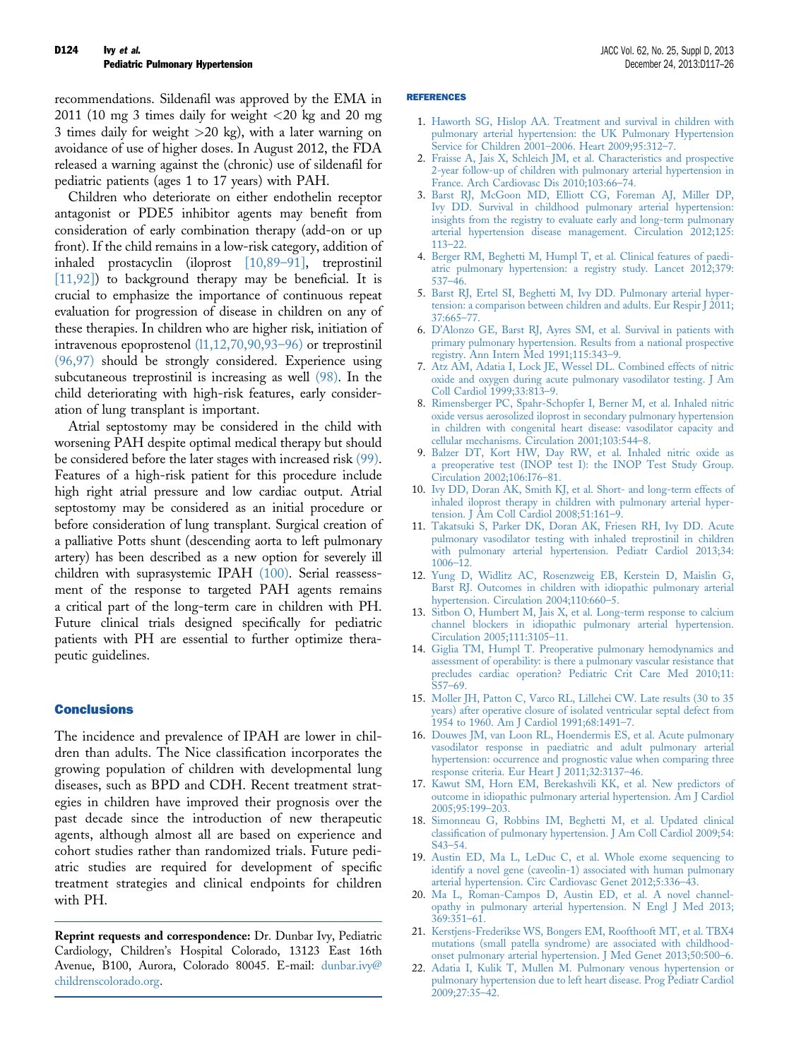<span id="page-7-0"></span>recommendations. Sildenafil was approved by the EMA in 2011 (10 mg 3 times daily for weight <20 kg and 20 mg 3 times daily for weight  $>20$  kg), with a later warning on avoidance of use of higher doses. In August 2012, the FDA released a warning against the (chronic) use of sildenafil for pediatric patients (ages 1 to 17 years) with PAH.

Children who deteriorate on either endothelin receptor antagonist or PDE5 inhibitor agents may benefit from consideration of early combination therapy (add-on or up front). If the child remains in a low-risk category, addition of inhaled prostacyclin (iloprost [10,89–91], treprostinil [11,92]) to background therapy may be beneficial. It is crucial to emphasize the importance of continuous repeat evaluation for progression of disease in children on any of these therapies. In children who are higher risk, initiation of intravenous epoprostenol (l1,12,70,90,93–96) or treprostinil [\(96,97\)](#page-9-0) should be strongly considered. Experience using subcutaneous treprostinil is increasing as well [\(98\).](#page-9-0) In the child deteriorating with high-risk features, early consideration of lung transplant is important.

Atrial septostomy may be considered in the child with worsening PAH despite optimal medical therapy but should be considered before the later stages with increased risk [\(99\).](#page-9-0) Features of a high-risk patient for this procedure include high right atrial pressure and low cardiac output. Atrial septostomy may be considered as an initial procedure or before consideration of lung transplant. Surgical creation of a palliative Potts shunt (descending aorta to left pulmonary artery) has been described as a new option for severely ill children with suprasystemic IPAH [\(100\).](#page-9-0) Serial reassessment of the response to targeted PAH agents remains a critical part of the long-term care in children with PH. Future clinical trials designed specifically for pediatric patients with PH are essential to further optimize therapeutic guidelines.

## **Conclusions**

The incidence and prevalence of IPAH are lower in children than adults. The Nice classification incorporates the growing population of children with developmental lung diseases, such as BPD and CDH. Recent treatment strategies in children have improved their prognosis over the past decade since the introduction of new therapeutic agents, although almost all are based on experience and cohort studies rather than randomized trials. Future pediatric studies are required for development of specific treatment strategies and clinical endpoints for children with PH.

Reprint requests and correspondence: Dr. Dunbar Ivy, Pediatric Cardiology, Children's Hospital Colorado, 13123 East 16th Avenue, B100, Aurora, Colorado 80045. E-mail: [dunbar.ivy@](mailto:dunbar.ivy@childrenscolorado.org) [childrenscolorado.org.](mailto:dunbar.ivy@childrenscolorado.org)

#### REFERENCES

- 1. [Haworth SG, Hislop AA. Treatment and survival in children with](http://refhub.elsevier.com/S0735-1097(13)05871-3/sref1) [pulmonary arterial hypertension: the UK Pulmonary Hypertension](http://refhub.elsevier.com/S0735-1097(13)05871-3/sref1) [Service for Children 2001](http://refhub.elsevier.com/S0735-1097(13)05871-3/sref1)–2006. Heart 2009;95:312–7.
- 2. [Fraisse A, Jais X, Schleich JM, et al. Characteristics and prospective](http://refhub.elsevier.com/S0735-1097(13)05871-3/sref2) [2-year follow-up of children with pulmonary arterial hypertension in](http://refhub.elsevier.com/S0735-1097(13)05871-3/sref2) [France. Arch Cardiovasc Dis 2010;103:66](http://refhub.elsevier.com/S0735-1097(13)05871-3/sref2)–74.
- 3. [Barst RJ, McGoon MD, Elliott CG, Foreman AJ, Miller DP,](http://refhub.elsevier.com/S0735-1097(13)05871-3/sref3) [Ivy DD. Survival in childhood pulmonary arterial hypertension:](http://refhub.elsevier.com/S0735-1097(13)05871-3/sref3) [insights from the registry to evaluate early and long-term pulmonary](http://refhub.elsevier.com/S0735-1097(13)05871-3/sref3) [arterial hypertension disease management. Circulation 2012;125:](http://refhub.elsevier.com/S0735-1097(13)05871-3/sref3) [113](http://refhub.elsevier.com/S0735-1097(13)05871-3/sref3)–22.
- 4. [Berger RM, Beghetti M, Humpl T, et al. Clinical features of paedi](http://refhub.elsevier.com/S0735-1097(13)05871-3/sref4)[atric pulmonary hypertension: a registry study. Lancet 2012;379:](http://refhub.elsevier.com/S0735-1097(13)05871-3/sref4) [537](http://refhub.elsevier.com/S0735-1097(13)05871-3/sref4)–46.
- 5. [Barst RJ, Ertel SI, Beghetti M, Ivy DD. Pulmonary arterial hyper](http://refhub.elsevier.com/S0735-1097(13)05871-3/sref5)[tension: a comparison between children and adults. Eur Respir J 2011;](http://refhub.elsevier.com/S0735-1097(13)05871-3/sref5) [37:665](http://refhub.elsevier.com/S0735-1097(13)05871-3/sref5)–77.
- 6. D'[Alonzo GE, Barst RJ, Ayres SM, et al. Survival in patients with](http://refhub.elsevier.com/S0735-1097(13)05871-3/sref6) [primary pulmonary hypertension. Results from a national prospective](http://refhub.elsevier.com/S0735-1097(13)05871-3/sref6) [registry. Ann Intern Med 1991;115:343](http://refhub.elsevier.com/S0735-1097(13)05871-3/sref6)–9.
- 7. [Atz AM, Adatia I, Lock JE, Wessel DL. Combined effects of nitric](http://refhub.elsevier.com/S0735-1097(13)05871-3/sref7) [oxide and oxygen during acute pulmonary vasodilator testing. J Am](http://refhub.elsevier.com/S0735-1097(13)05871-3/sref7) [Coll Cardiol 1999;33:813](http://refhub.elsevier.com/S0735-1097(13)05871-3/sref7)–9.
- 8. [Rimensberger PC, Spahr-Schopfer I, Berner M, et al. Inhaled nitric](http://refhub.elsevier.com/S0735-1097(13)05871-3/sref8) [oxide versus aerosolized iloprost in secondary pulmonary hypertension](http://refhub.elsevier.com/S0735-1097(13)05871-3/sref8) [in children with congenital heart disease: vasodilator capacity and](http://refhub.elsevier.com/S0735-1097(13)05871-3/sref8) [cellular mechanisms. Circulation 2001;103:544](http://refhub.elsevier.com/S0735-1097(13)05871-3/sref8)–8.
- 9. [Balzer DT, Kort HW, Day RW, et al. Inhaled nitric oxide as](http://refhub.elsevier.com/S0735-1097(13)05871-3/sref9) [a preoperative test \(INOP test I\): the INOP Test Study Group.](http://refhub.elsevier.com/S0735-1097(13)05871-3/sref9) [Circulation 2002;106:I76](http://refhub.elsevier.com/S0735-1097(13)05871-3/sref9)–81.
- 10. [Ivy DD, Doran AK, Smith KJ, et al. Short- and long-term effects of](http://refhub.elsevier.com/S0735-1097(13)05871-3/sref10) [inhaled iloprost therapy in children with pulmonary arterial hyper](http://refhub.elsevier.com/S0735-1097(13)05871-3/sref10)[tension. J Am Coll Cardiol 2008;51:161](http://refhub.elsevier.com/S0735-1097(13)05871-3/sref10)–9.
- 11. [Takatsuki S, Parker DK, Doran AK, Friesen RH, Ivy DD. Acute](http://refhub.elsevier.com/S0735-1097(13)05871-3/sref11) [pulmonary vasodilator testing with inhaled treprostinil in children](http://refhub.elsevier.com/S0735-1097(13)05871-3/sref11) [with pulmonary arterial hypertension. Pediatr Cardiol 2013;34:](http://refhub.elsevier.com/S0735-1097(13)05871-3/sref11) [1006](http://refhub.elsevier.com/S0735-1097(13)05871-3/sref11)–12.
- 12. [Yung D, Widlitz AC, Rosenzweig EB, Kerstein D, Maislin G,](http://refhub.elsevier.com/S0735-1097(13)05871-3/sref12) [Barst RJ. Outcomes in children with idiopathic pulmonary arterial](http://refhub.elsevier.com/S0735-1097(13)05871-3/sref12) [hypertension. Circulation 2004;110:660](http://refhub.elsevier.com/S0735-1097(13)05871-3/sref12)–5.
- 13. [Sitbon O, Humbert M, Jais X, et al. Long-term response to calcium](http://refhub.elsevier.com/S0735-1097(13)05871-3/sref13) [channel blockers in idiopathic pulmonary arterial hypertension.](http://refhub.elsevier.com/S0735-1097(13)05871-3/sref13) [Circulation 2005;111:3105](http://refhub.elsevier.com/S0735-1097(13)05871-3/sref13)–11.
- 14. [Giglia TM, Humpl T. Preoperative pulmonary hemodynamics and](http://refhub.elsevier.com/S0735-1097(13)05871-3/sref14) [assessment of operability: is there a pulmonary vascular resistance that](http://refhub.elsevier.com/S0735-1097(13)05871-3/sref14) [precludes cardiac operation? Pediatric Crit Care Med 2010;11:](http://refhub.elsevier.com/S0735-1097(13)05871-3/sref14) [S57](http://refhub.elsevier.com/S0735-1097(13)05871-3/sref14)–69.
- 15. [Moller JH, Patton C, Varco RL, Lillehei CW. Late results \(30 to 35](http://refhub.elsevier.com/S0735-1097(13)05871-3/sref15) [years\) after operative closure of isolated ventricular septal defect from](http://refhub.elsevier.com/S0735-1097(13)05871-3/sref15) [1954 to 1960. Am J Cardiol 1991;68:1491](http://refhub.elsevier.com/S0735-1097(13)05871-3/sref15)–7.
- 16. [Douwes JM, van Loon RL, Hoendermis ES, et al. Acute pulmonary](http://refhub.elsevier.com/S0735-1097(13)05871-3/sref16) [vasodilator response in paediatric and adult pulmonary arterial](http://refhub.elsevier.com/S0735-1097(13)05871-3/sref16) [hypertension: occurrence and prognostic value when comparing three](http://refhub.elsevier.com/S0735-1097(13)05871-3/sref16) [response criteria. Eur Heart J 2011;32:3137](http://refhub.elsevier.com/S0735-1097(13)05871-3/sref16)–46.
- 17. [Kawut SM, Horn EM, Berekashvili KK, et al. New predictors of](http://refhub.elsevier.com/S0735-1097(13)05871-3/sref17) [outcome in idiopathic pulmonary arterial hypertension. Am J Cardiol](http://refhub.elsevier.com/S0735-1097(13)05871-3/sref17) [2005;95:199](http://refhub.elsevier.com/S0735-1097(13)05871-3/sref17)–203.
- 18. [Simonneau G, Robbins IM, Beghetti M, et al. Updated clinical](http://refhub.elsevier.com/S0735-1097(13)05871-3/sref18) classifi[cation of pulmonary hypertension. J Am Coll Cardiol 2009;54:](http://refhub.elsevier.com/S0735-1097(13)05871-3/sref18) [S43](http://refhub.elsevier.com/S0735-1097(13)05871-3/sref18)–54.
- 19. [Austin ED, Ma L, LeDuc C, et al. Whole exome sequencing to](http://refhub.elsevier.com/S0735-1097(13)05871-3/sref19) [identify a novel gene \(caveolin-1\) associated with human pulmonary](http://refhub.elsevier.com/S0735-1097(13)05871-3/sref19) [arterial hypertension. Circ Cardiovasc Genet 2012;5:336](http://refhub.elsevier.com/S0735-1097(13)05871-3/sref19)–43.
- 20. [Ma L, Roman-Campos D, Austin ED, et al. A novel channel](http://refhub.elsevier.com/S0735-1097(13)05871-3/sref20)[opathy in pulmonary arterial hypertension. N Engl J Med 2013;](http://refhub.elsevier.com/S0735-1097(13)05871-3/sref20) [369:351](http://refhub.elsevier.com/S0735-1097(13)05871-3/sref20)–61.
- 21. [Kerstjens-Frederikse WS, Bongers EM, Roofthooft MT, et al. TBX4](http://refhub.elsevier.com/S0735-1097(13)05871-3/sref21) [mutations \(small patella syndrome\) are associated with childhood](http://refhub.elsevier.com/S0735-1097(13)05871-3/sref21)[onset pulmonary arterial hypertension. J Med Genet 2013;50:500](http://refhub.elsevier.com/S0735-1097(13)05871-3/sref21)–6.
- 22. [Adatia I, Kulik T, Mullen M. Pulmonary venous hypertension or](http://refhub.elsevier.com/S0735-1097(13)05871-3/sref22) [pulmonary hypertension due to left heart disease. Prog Pediatr Cardiol](http://refhub.elsevier.com/S0735-1097(13)05871-3/sref22) [2009;27:35](http://refhub.elsevier.com/S0735-1097(13)05871-3/sref22)–42.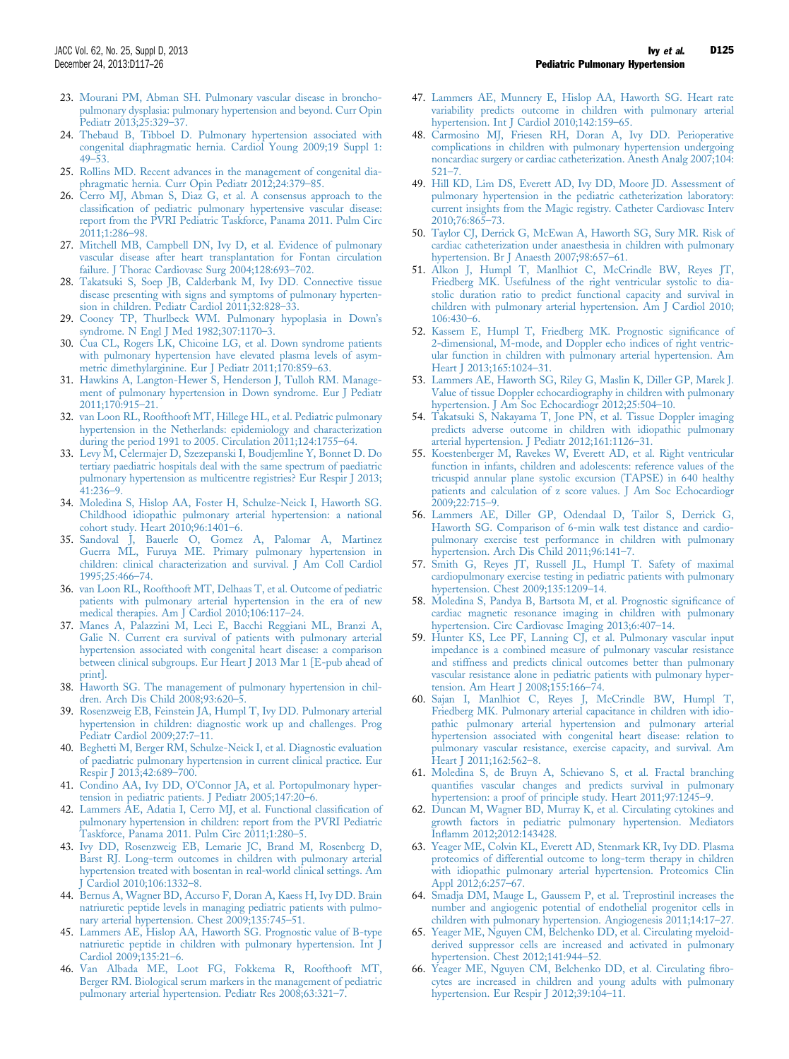- <span id="page-8-0"></span>23. [Mourani PM, Abman SH. Pulmonary vascular disease in broncho](http://refhub.elsevier.com/S0735-1097(13)05871-3/sref23)[pulmonary dysplasia: pulmonary hypertension and beyond. Curr Opin](http://refhub.elsevier.com/S0735-1097(13)05871-3/sref23) [Pediatr 2013;25:329](http://refhub.elsevier.com/S0735-1097(13)05871-3/sref23)–37.
- 24. [Thebaud B, Tibboel D. Pulmonary hypertension associated with](http://refhub.elsevier.com/S0735-1097(13)05871-3/sref24) [congenital diaphragmatic hernia. Cardiol Young 2009;19 Suppl 1:](http://refhub.elsevier.com/S0735-1097(13)05871-3/sref24) 49–[53.](http://refhub.elsevier.com/S0735-1097(13)05871-3/sref24)
- 25. [Rollins MD. Recent advances in the management of congenital dia](http://refhub.elsevier.com/S0735-1097(13)05871-3/sref25)[phragmatic hernia. Curr Opin Pediatr 2012;24:379](http://refhub.elsevier.com/S0735-1097(13)05871-3/sref25)–85.
- 26. [Cerro MJ, Abman S, Diaz G, et al. A consensus approach to the](http://refhub.elsevier.com/S0735-1097(13)05871-3/sref26) classifi[cation of pediatric pulmonary hypertensive vascular disease:](http://refhub.elsevier.com/S0735-1097(13)05871-3/sref26) [report from the PVRI Pediatric Taskforce, Panama 2011. Pulm Circ](http://refhub.elsevier.com/S0735-1097(13)05871-3/sref26) [2011;1:286](http://refhub.elsevier.com/S0735-1097(13)05871-3/sref26)–98.
- 27. [Mitchell MB, Campbell DN, Ivy D, et al. Evidence of pulmonary](http://refhub.elsevier.com/S0735-1097(13)05871-3/sref27) [vascular disease after heart transplantation for Fontan circulation](http://refhub.elsevier.com/S0735-1097(13)05871-3/sref27) [failure. J Thorac Cardiovasc Surg 2004;128:693](http://refhub.elsevier.com/S0735-1097(13)05871-3/sref27)-702.
- 28. [Takatsuki S, Soep JB, Calderbank M, Ivy DD. Connective tissue](http://refhub.elsevier.com/S0735-1097(13)05871-3/sref28) [disease presenting with signs and symptoms of pulmonary hyperten](http://refhub.elsevier.com/S0735-1097(13)05871-3/sref28)[sion in children. Pediatr Cardiol 2011;32:828](http://refhub.elsevier.com/S0735-1097(13)05871-3/sref28)–33.
- 29. [Cooney TP, Thurlbeck WM. Pulmonary hypoplasia in Down](http://refhub.elsevier.com/S0735-1097(13)05871-3/sref29)'s [syndrome. N Engl J Med 1982;307:1170](http://refhub.elsevier.com/S0735-1097(13)05871-3/sref29)–3.
- 30. [Cua CL, Rogers LK, Chicoine LG, et al. Down syndrome patients](http://refhub.elsevier.com/S0735-1097(13)05871-3/sref30) [with pulmonary hypertension have elevated plasma levels of asym](http://refhub.elsevier.com/S0735-1097(13)05871-3/sref30)[metric dimethylarginine. Eur J Pediatr 2011;170:859](http://refhub.elsevier.com/S0735-1097(13)05871-3/sref30)–63.
- 31. [Hawkins A, Langton-Hewer S, Henderson J, Tulloh RM. Manage](http://refhub.elsevier.com/S0735-1097(13)05871-3/sref31)[ment of pulmonary hypertension in Down syndrome. Eur J Pediatr](http://refhub.elsevier.com/S0735-1097(13)05871-3/sref31) [2011;170:915](http://refhub.elsevier.com/S0735-1097(13)05871-3/sref31)–21.
- 32. [van Loon RL, Roofthooft MT, Hillege HL, et al. Pediatric pulmonary](http://refhub.elsevier.com/S0735-1097(13)05871-3/sref32) [hypertension in the Netherlands: epidemiology and characterization](http://refhub.elsevier.com/S0735-1097(13)05871-3/sref32) [during the period 1991 to 2005. Circulation 2011;124:1755](http://refhub.elsevier.com/S0735-1097(13)05871-3/sref32)–64.
- 33. [Levy M, Celermajer D, Szezepanski I, Boudjemline Y, Bonnet D. Do](http://refhub.elsevier.com/S0735-1097(13)05871-3/sref33) [tertiary paediatric hospitals deal with the same spectrum of paediatric](http://refhub.elsevier.com/S0735-1097(13)05871-3/sref33) [pulmonary hypertension as multicentre registries? Eur Respir J 2013;](http://refhub.elsevier.com/S0735-1097(13)05871-3/sref33) [41:236](http://refhub.elsevier.com/S0735-1097(13)05871-3/sref33)–9.
- 34. [Moledina S, Hislop AA, Foster H, Schulze-Neick I, Haworth SG.](http://refhub.elsevier.com/S0735-1097(13)05871-3/sref34) [Childhood idiopathic pulmonary arterial hypertension: a national](http://refhub.elsevier.com/S0735-1097(13)05871-3/sref34) [cohort study. Heart 2010;96:1401](http://refhub.elsevier.com/S0735-1097(13)05871-3/sref34)–6.
- 35. [Sandoval J, Bauerle O, Gomez A, Palomar A, Martinez](http://refhub.elsevier.com/S0735-1097(13)05871-3/sref35) [Guerra ML, Furuya ME. Primary pulmonary hypertension in](http://refhub.elsevier.com/S0735-1097(13)05871-3/sref35) [children: clinical characterization and survival. J Am Coll Cardiol](http://refhub.elsevier.com/S0735-1097(13)05871-3/sref35) [1995;25:466](http://refhub.elsevier.com/S0735-1097(13)05871-3/sref35)–74.
- 36. [van Loon RL, Roofthooft MT, Delhaas T, et al. Outcome of pediatric](http://refhub.elsevier.com/S0735-1097(13)05871-3/sref36) [patients with pulmonary arterial hypertension in the era of new](http://refhub.elsevier.com/S0735-1097(13)05871-3/sref36) [medical therapies. Am J Cardiol 2010;106:117](http://refhub.elsevier.com/S0735-1097(13)05871-3/sref36)–24.
- 37. [Manes A, Palazzini M, Leci E, Bacchi Reggiani ML, Branzi A,](http://refhub.elsevier.com/S0735-1097(13)05871-3/sref37) [Galie N. Current era survival of patients with pulmonary arterial](http://refhub.elsevier.com/S0735-1097(13)05871-3/sref37) [hypertension associated with congenital heart disease: a comparison](http://refhub.elsevier.com/S0735-1097(13)05871-3/sref37) [between clinical subgroups. Eur Heart J 2013 Mar 1 \[E-pub ahead of](http://refhub.elsevier.com/S0735-1097(13)05871-3/sref37) [print\].](http://refhub.elsevier.com/S0735-1097(13)05871-3/sref37)
- 38. [Haworth SG. The management of pulmonary hypertension in chil](http://refhub.elsevier.com/S0735-1097(13)05871-3/sref38)[dren. Arch Dis Child 2008;93:620](http://refhub.elsevier.com/S0735-1097(13)05871-3/sref38)–5.
- 39. [Rosenzweig EB, Feinstein JA, Humpl T, Ivy DD. Pulmonary arterial](http://refhub.elsevier.com/S0735-1097(13)05871-3/sref39) [hypertension in children: diagnostic work up and challenges. Prog](http://refhub.elsevier.com/S0735-1097(13)05871-3/sref39) [Pediatr Cardiol 2009;27:7](http://refhub.elsevier.com/S0735-1097(13)05871-3/sref39)–11.
- 40. [Beghetti M, Berger RM, Schulze-Neick I, et al. Diagnostic evaluation](http://refhub.elsevier.com/S0735-1097(13)05871-3/sref40) [of paediatric pulmonary hypertension in current clinical practice. Eur](http://refhub.elsevier.com/S0735-1097(13)05871-3/sref40) [Respir J 2013;42:689](http://refhub.elsevier.com/S0735-1097(13)05871-3/sref40)–700.
- 41. Condino AA, Ivy DD, O'[Connor JA, et al. Portopulmonary hyper](http://refhub.elsevier.com/S0735-1097(13)05871-3/sref41)[tension in pediatric patients. J Pediatr 2005;147:20](http://refhub.elsevier.com/S0735-1097(13)05871-3/sref41)–6.
- 42. [Lammers AE, Adatia I, Cerro MJ, et al. Functional classi](http://refhub.elsevier.com/S0735-1097(13)05871-3/sref42)fication of [pulmonary hypertension in children: report from the PVRI Pediatric](http://refhub.elsevier.com/S0735-1097(13)05871-3/sref42) [Taskforce, Panama 2011. Pulm Circ 2011;1:280](http://refhub.elsevier.com/S0735-1097(13)05871-3/sref42)–5.
- 43. [Ivy DD, Rosenzweig EB, Lemarie JC, Brand M, Rosenberg D,](http://refhub.elsevier.com/S0735-1097(13)05871-3/sref43) [Barst RJ. Long-term outcomes in children with pulmonary arterial](http://refhub.elsevier.com/S0735-1097(13)05871-3/sref43) [hypertension treated with bosentan in real-world clinical settings. Am](http://refhub.elsevier.com/S0735-1097(13)05871-3/sref43) [J Cardiol 2010;106:1332](http://refhub.elsevier.com/S0735-1097(13)05871-3/sref43)–8.
- 44. [Bernus A, Wagner BD, Accurso F, Doran A, Kaess H, Ivy DD. Brain](http://refhub.elsevier.com/S0735-1097(13)05871-3/sref44) [natriuretic peptide levels in managing pediatric patients with pulmo](http://refhub.elsevier.com/S0735-1097(13)05871-3/sref44)[nary arterial hypertension. Chest 2009;135:745](http://refhub.elsevier.com/S0735-1097(13)05871-3/sref44)–51.
- 45. [Lammers AE, Hislop AA, Haworth SG. Prognostic value of B-type](http://refhub.elsevier.com/S0735-1097(13)05871-3/sref45) [natriuretic peptide in children with pulmonary hypertension. Int J](http://refhub.elsevier.com/S0735-1097(13)05871-3/sref45) [Cardiol 2009;135:21](http://refhub.elsevier.com/S0735-1097(13)05871-3/sref45)–6.
- 46. [Van Albada ME, Loot FG, Fokkema R, Roofthooft MT,](http://refhub.elsevier.com/S0735-1097(13)05871-3/sref46) [Berger RM. Biological serum markers in the management of pediatric](http://refhub.elsevier.com/S0735-1097(13)05871-3/sref46) [pulmonary arterial hypertension. Pediatr Res 2008;63:321](http://refhub.elsevier.com/S0735-1097(13)05871-3/sref46)–7.
- 47. [Lammers AE, Munnery E, Hislop AA, Haworth SG. Heart rate](http://refhub.elsevier.com/S0735-1097(13)05871-3/sref47) [variability predicts outcome in children with pulmonary arterial](http://refhub.elsevier.com/S0735-1097(13)05871-3/sref47) [hypertension. Int J Cardiol 2010;142:159](http://refhub.elsevier.com/S0735-1097(13)05871-3/sref47)–65.
- 48. [Carmosino MJ, Friesen RH, Doran A, Ivy DD. Perioperative](http://refhub.elsevier.com/S0735-1097(13)05871-3/sref48) [complications in children with pulmonary hypertension undergoing](http://refhub.elsevier.com/S0735-1097(13)05871-3/sref48) [noncardiac surgery or cardiac catheterization. Anesth Analg 2007;104:](http://refhub.elsevier.com/S0735-1097(13)05871-3/sref48) [521](http://refhub.elsevier.com/S0735-1097(13)05871-3/sref48)–7.
- 49. [Hill KD, Lim DS, Everett AD, Ivy DD, Moore JD. Assessment of](http://refhub.elsevier.com/S0735-1097(13)05871-3/sref49) [pulmonary hypertension in the pediatric catheterization laboratory:](http://refhub.elsevier.com/S0735-1097(13)05871-3/sref49) [current insights from the Magic registry. Catheter Cardiovasc Interv](http://refhub.elsevier.com/S0735-1097(13)05871-3/sref49) [2010;76:865](http://refhub.elsevier.com/S0735-1097(13)05871-3/sref49)–73.
- 50. [Taylor CJ, Derrick G, McEwan A, Haworth SG, Sury MR. Risk of](http://refhub.elsevier.com/S0735-1097(13)05871-3/sref50) [cardiac catheterization under anaesthesia in children with pulmonary](http://refhub.elsevier.com/S0735-1097(13)05871-3/sref50) [hypertension. Br J Anaesth 2007;98:657](http://refhub.elsevier.com/S0735-1097(13)05871-3/sref50)–61.
- 51. [Alkon J, Humpl T, Manlhiot C, McCrindle BW, Reyes JT,](http://refhub.elsevier.com/S0735-1097(13)05871-3/sref51) [Friedberg MK. Usefulness of the right ventricular systolic to dia](http://refhub.elsevier.com/S0735-1097(13)05871-3/sref51)[stolic duration ratio to predict functional capacity and survival in](http://refhub.elsevier.com/S0735-1097(13)05871-3/sref51) [children with pulmonary arterial hypertension. Am J Cardiol 2010;](http://refhub.elsevier.com/S0735-1097(13)05871-3/sref51) [106:430](http://refhub.elsevier.com/S0735-1097(13)05871-3/sref51)–6.
- 52. [Kassem E, Humpl T, Friedberg MK. Prognostic signi](http://refhub.elsevier.com/S0735-1097(13)05871-3/sref52)ficance of [2-dimensional, M-mode, and Doppler echo indices of right ventric](http://refhub.elsevier.com/S0735-1097(13)05871-3/sref52)[ular function in children with pulmonary arterial hypertension. Am](http://refhub.elsevier.com/S0735-1097(13)05871-3/sref52) [Heart J 2013;165:1024](http://refhub.elsevier.com/S0735-1097(13)05871-3/sref52)–31.
- 53. [Lammers AE, Haworth SG, Riley G, Maslin K, Diller GP, Marek J.](http://refhub.elsevier.com/S0735-1097(13)05871-3/sref53) [Value of tissue Doppler echocardiography in children with pulmonary](http://refhub.elsevier.com/S0735-1097(13)05871-3/sref53) [hypertension. J Am Soc Echocardiogr 2012;25:504](http://refhub.elsevier.com/S0735-1097(13)05871-3/sref53)–10.
- 54. [Takatsuki S, Nakayama T, Jone PN, et al. Tissue Doppler imaging](http://refhub.elsevier.com/S0735-1097(13)05871-3/sref54) [predicts adverse outcome in children with idiopathic pulmonary](http://refhub.elsevier.com/S0735-1097(13)05871-3/sref54) [arterial hypertension. J Pediatr 2012;161:1126](http://refhub.elsevier.com/S0735-1097(13)05871-3/sref54)–31.
- 55. [Koestenberger M, Ravekes W, Everett AD, et al. Right ventricular](http://refhub.elsevier.com/S0735-1097(13)05871-3/sref55) [function in infants, children and adolescents: reference values of the](http://refhub.elsevier.com/S0735-1097(13)05871-3/sref55) [tricuspid annular plane systolic excursion \(TAPSE\) in 640 healthy](http://refhub.elsevier.com/S0735-1097(13)05871-3/sref55) [patients and calculation of z score values. J Am Soc Echocardiogr](http://refhub.elsevier.com/S0735-1097(13)05871-3/sref55) [2009;22:715](http://refhub.elsevier.com/S0735-1097(13)05871-3/sref55)–9.
- 56. [Lammers AE, Diller GP, Odendaal D, Tailor S, Derrick G,](http://refhub.elsevier.com/S0735-1097(13)05871-3/sref56) [Haworth SG. Comparison of 6-min walk test distance and cardio](http://refhub.elsevier.com/S0735-1097(13)05871-3/sref56)[pulmonary exercise test performance in children with pulmonary](http://refhub.elsevier.com/S0735-1097(13)05871-3/sref56) [hypertension. Arch Dis Child 2011;96:141](http://refhub.elsevier.com/S0735-1097(13)05871-3/sref56)–7.
- 57. [Smith G, Reyes JT, Russell JL, Humpl T. Safety of maximal](http://refhub.elsevier.com/S0735-1097(13)05871-3/sref57) [cardiopulmonary exercise testing in pediatric patients with pulmonary](http://refhub.elsevier.com/S0735-1097(13)05871-3/sref57) [hypertension. Chest 2009;135:1209](http://refhub.elsevier.com/S0735-1097(13)05871-3/sref57)–14.
- 58. [Moledina S, Pandya B, Bartsota M, et al. Prognostic signi](http://refhub.elsevier.com/S0735-1097(13)05871-3/sref58)ficance of [cardiac magnetic resonance imaging in children with pulmonary](http://refhub.elsevier.com/S0735-1097(13)05871-3/sref58) [hypertension. Circ Cardiovasc Imaging 2013;6:407](http://refhub.elsevier.com/S0735-1097(13)05871-3/sref58)–14.
- 59. [Hunter KS, Lee PF, Lanning CJ, et al. Pulmonary vascular input](http://refhub.elsevier.com/S0735-1097(13)05871-3/sref59) [impedance is a combined measure of pulmonary vascular resistance](http://refhub.elsevier.com/S0735-1097(13)05871-3/sref59) [and stiffness and predicts clinical outcomes better than pulmonary](http://refhub.elsevier.com/S0735-1097(13)05871-3/sref59) [vascular resistance alone in pediatric patients with pulmonary hyper](http://refhub.elsevier.com/S0735-1097(13)05871-3/sref59)[tension. Am Heart J 2008;155:166](http://refhub.elsevier.com/S0735-1097(13)05871-3/sref59)–74.
- 60. [Sajan I, Manlhiot C, Reyes J, McCrindle BW, Humpl T,](http://refhub.elsevier.com/S0735-1097(13)05871-3/sref60) [Friedberg MK. Pulmonary arterial capacitance in children with idio](http://refhub.elsevier.com/S0735-1097(13)05871-3/sref60)[pathic pulmonary arterial hypertension and pulmonary arterial](http://refhub.elsevier.com/S0735-1097(13)05871-3/sref60) [hypertension associated with congenital heart disease: relation to](http://refhub.elsevier.com/S0735-1097(13)05871-3/sref60) [pulmonary vascular resistance, exercise capacity, and survival. Am](http://refhub.elsevier.com/S0735-1097(13)05871-3/sref60) [Heart J 2011;162:562](http://refhub.elsevier.com/S0735-1097(13)05871-3/sref60)–8.
- 61. [Moledina S, de Bruyn A, Schievano S, et al. Fractal branching](http://refhub.elsevier.com/S0735-1097(13)05871-3/sref61) quantifi[es vascular changes and predicts survival in pulmonary](http://refhub.elsevier.com/S0735-1097(13)05871-3/sref61) [hypertension: a proof of principle study. Heart 2011;97:1245](http://refhub.elsevier.com/S0735-1097(13)05871-3/sref61)–9.
- 62. [Duncan M, Wagner BD, Murray K, et al. Circulating cytokines and](http://refhub.elsevier.com/S0735-1097(13)05871-3/sref62) [growth factors in pediatric pulmonary hypertension. Mediators](http://refhub.elsevier.com/S0735-1097(13)05871-3/sref62) Infl[amm 2012;2012:143428.](http://refhub.elsevier.com/S0735-1097(13)05871-3/sref62)
- 63. [Yeager ME, Colvin KL, Everett AD, Stenmark KR, Ivy DD. Plasma](http://refhub.elsevier.com/S0735-1097(13)05871-3/sref63) [proteomics of differential outcome to long-term therapy in children](http://refhub.elsevier.com/S0735-1097(13)05871-3/sref63) [with idiopathic pulmonary arterial hypertension. Proteomics Clin](http://refhub.elsevier.com/S0735-1097(13)05871-3/sref63) [Appl 2012;6:257](http://refhub.elsevier.com/S0735-1097(13)05871-3/sref63)–67.
- 64. [Smadja DM, Mauge L, Gaussem P, et al. Treprostinil increases the](http://refhub.elsevier.com/S0735-1097(13)05871-3/sref64) [number and angiogenic potential of endothelial progenitor cells in](http://refhub.elsevier.com/S0735-1097(13)05871-3/sref64) [children with pulmonary hypertension. Angiogenesis 2011;14:17](http://refhub.elsevier.com/S0735-1097(13)05871-3/sref64)–27.
- 65. [Yeager ME, Nguyen CM, Belchenko DD, et al. Circulating myeloid](http://refhub.elsevier.com/S0735-1097(13)05871-3/sref65)[derived suppressor cells are increased and activated in pulmonary](http://refhub.elsevier.com/S0735-1097(13)05871-3/sref65) [hypertension. Chest 2012;141:944](http://refhub.elsevier.com/S0735-1097(13)05871-3/sref65)–52.
- 66. [Yeager ME, Nguyen CM, Belchenko DD, et al. Circulating](http://refhub.elsevier.com/S0735-1097(13)05871-3/sref66) fibro[cytes are increased in children and young adults with pulmonary](http://refhub.elsevier.com/S0735-1097(13)05871-3/sref66) [hypertension. Eur Respir J 2012;39:104](http://refhub.elsevier.com/S0735-1097(13)05871-3/sref66)–11.